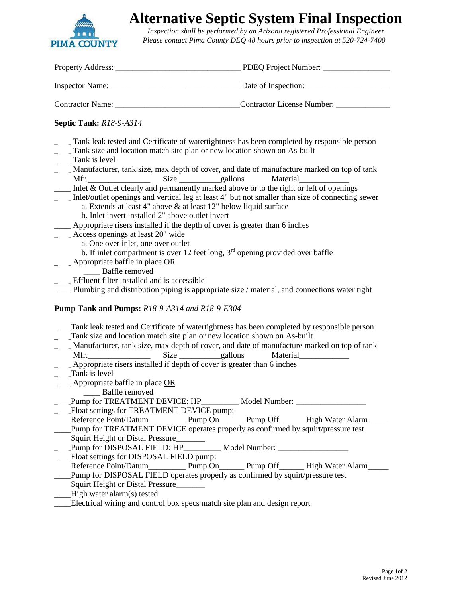

# **Alternative Septic System Final Inspection**

 *Inspection shall be performed by an Arizona registered Professional Engineer Please contact Pima County DEQ 48 hours prior to inspection at 520-724-7400*

| <b>Septic Tank: R18-9-A314</b>                                                                                                                                                                                                                                                                                                                                                                                                                                                                                                                                                                                                                                                                                                                                                                                                                                                                                                                                                                                                                                                                                                                                                       |                 |
|--------------------------------------------------------------------------------------------------------------------------------------------------------------------------------------------------------------------------------------------------------------------------------------------------------------------------------------------------------------------------------------------------------------------------------------------------------------------------------------------------------------------------------------------------------------------------------------------------------------------------------------------------------------------------------------------------------------------------------------------------------------------------------------------------------------------------------------------------------------------------------------------------------------------------------------------------------------------------------------------------------------------------------------------------------------------------------------------------------------------------------------------------------------------------------------|-----------------|
| Tank leak tested and Certificate of watertightness has been completed by responsible person<br>Tank size and location match site plan or new location shown on As-built<br>$\overline{\phantom{a}}$ $\overline{\phantom{a}}$ Tank is level<br>Manufacturer, tank size, max depth of cover, and date of manufacture marked on top of tank<br>Inlet & Outlet clearly and permanently marked above or to the right or left of openings<br>Inlet/outlet openings and vertical leg at least 4" but not smaller than size of connecting sewer<br>a. Extends at least 4" above & at least 12" below liquid surface<br>b. Inlet invert installed 2" above outlet invert<br>____ Appropriate risers installed if the depth of cover is greater than 6 inches<br>_____ Access openings at least 20" wide<br>a. One over inlet, one over outlet<br>b. If inlet compartment is over 12 feet long, $3rd$ opening provided over baffle<br>Appropriate baffle in place OR<br>___ Baffle removed<br>__ Effluent filter installed and is accessible<br>Plumbing and distribution piping is appropriate size / material, and connections water tight<br>Pump Tank and Pumps: R18-9-A314 and R18-9-E304 |                 |
| Tank leak tested and Certificate of watertightness has been completed by responsible person<br>Tank size and location match site plan or new location shown on As-built<br>____ Manufacturer, tank size, max depth of cover, and date of manufacture marked on top of tank<br>____ Appropriate risers installed if depth of cover is greater than 6 inches<br>Tank is level<br>- Appropriate baffle in place OR<br>_____ Baffle removed<br>Pump for TREATMENT DEVICE: HP__________ Model Number: __________________________<br>Float settings for TREATMENT DEVICE pump:<br>Pump for TREATMENT DEVICE operates properly as confirmed by squirt/pressure test<br>Squirt Height or Distal Pressure<br>Pump for DISPOSAL FIELD: HP___________ Model Number: ____________________________<br>Float settings for DISPOSAL FIELD pump:<br>Pump for DISPOSAL FIELD operates properly as confirmed by squirt/pressure test<br>Squirt Height or Distal Pressure                                                                                                                                                                                                                               | <b>Material</b> |

\_\_\_\_Electrical wiring and control box specs match site plan and design report